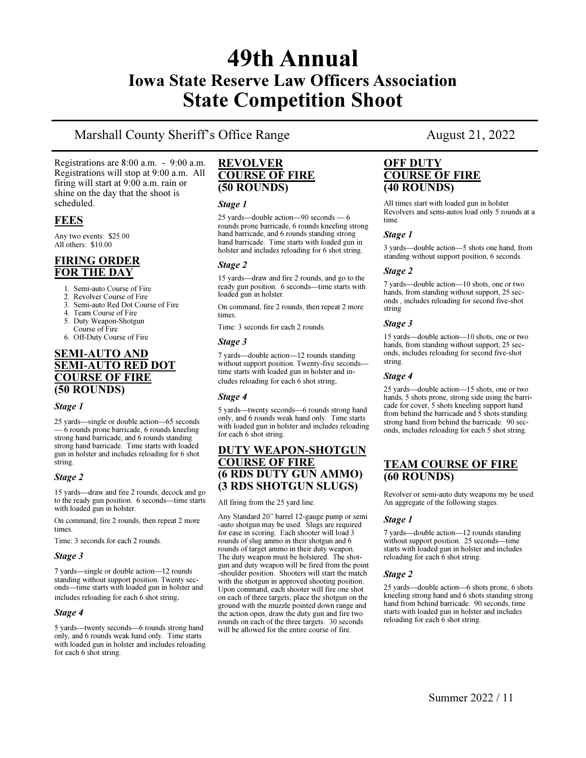## 49th Annual Iowa State Reserve Law Officers Association State Competition Shoot

## Marshall County Sheriff's Office Range August 21, 2022

Registrations are 8:00 a.m. - 9:00 a.m. Registrations will stop at 9:00 a.m. All firing will start at 9:00 a.m. rain or shine on the day that the shoot is scheduled.

### **FEES**

Any two events: \$25.00 All others: \$10.00

### FIRING ORDER FOR THE DAY

- 1. Semi-auto Course of Fire
- 2. Revolver Course of Fire
- Semi-auto Red Dot Course of Fire
- 4. Team Course of Fire
- 5. Duty Weapon-Shotgun Course of Fire
- 6. Off-Duty Course of Fire

### SEMI**-**AUTO AND SEMI**-**AUTO RED DOT COURSE OF FIRE (50 ROUNDS)

#### Stage 1

25 yards—single or double action—65 seconds — 6 rounds prone barricade, 6 rounds kneeling strong hand barricade, and 6 rounds standing strong hand barricade. Time starts with loaded gun in holster and includes reloading for 6 shot string.

#### Stage 2

15 yards—draw and fire 2 rounds, decock and go to the ready gun position. 6 seconds—time starts with loaded gun in holster.

On command, fire 2 rounds, then repeat 2 more times.

Time: 3 seconds for each 2 rounds.

#### Stage 3

7 yards—single or double action—12 rounds standing without support position. Twenty seconds—time starts with loaded gun in holster and includes reloading for each 6 shot string.

#### Stage 4

5 yards—twenty seconds—6 rounds strong hand only, and 6 rounds weak hand only. Time starts with loaded gun in holster and includes reloading for each 6 shot string.

#### REVOLVER COURSE OF FIRE (50 ROUNDS)

#### Stage 1

25 yards—double action—90 seconds — 6 rounds prone barricade, 6 rounds kneeling strong hand barricade, and 6 rounds standing strong hand barricade. Time starts with loaded gun in holster and includes reloading for 6 shot string.

#### Stage 2

15 yards—draw and fire 2 rounds, and go to the ready gun position. 6 seconds—time starts with loaded gun in holster.

On command, fire 2 rounds, then repeat 2 more times.

Time: 3 seconds for each 2 rounds.

#### Stage 3

7 yards—double action—12 rounds standing without support position. Twenty-five seconds time starts with loaded gun in holster and includes reloading for each 6 shot string.

#### Stage 4

5 yards—twenty seconds—6 rounds strong hand only, and 6 rounds weak hand only. Time starts with loaded gun in holster and includes reloading for each 6 shot string.

#### DUTY WEAPON**-**SHOTGUN COURSE OF FIRE (6 RDS DUTY GUN AMMO) (3 RDS SHOTGUN SLUGS)

All firing from the 25 yard line.

Any Standard 20" barrel 12-gauge pump or semi -auto shotgun may be used. Slugs are required for ease in scoring. Each shooter will load 3 rounds of slug ammo in their shotgun and 6 rounds of target ammo in their duty weapon. The duty weapon must be holstered. The shotgun and duty weapon will be fired from the point -shoulder position. Shooters will start the match with the shotgun in approved shooting position. Upon command, each shooter will fire one shot on each of three targets, place the shotgun on the ground with the muzzle pointed down range and the action open, draw the duty gun and fire two rounds on each of the three targets. 30 seconds will be allowed for the entire course of fire.

#### OFF DUTY COURSE OF FIRE (40 ROUNDS)

All times start with loaded gun in holster. Revolvers and semi-autos load only 5 rounds at a time.

#### Stage 1

3 yards—double action—5 shots one hand, from standing without support position, 6 seconds.

#### Stage 2

7 yards—double action—10 shots, one or two hands, from standing without support, 25 seconds , includes reloading for second five-shot string

#### Stage 3

15 yards—double action—10 shots, one or two hands, from standing without support, 25 seconds, includes reloading for second five-shot string.

#### Stage 4

25 yards—double action—15 shots, one or two hands, 5 shots prone, strong side using the barricade for cover, 5 shots kneeling support hand from behind the barricade and 5 shots standing strong hand from behind the barricade. 90 seconds, includes reloading for each 5 shot string.

### TEAM COURSE OF FIRE (60 ROUNDS)

Revolver or semi-auto duty weapons my be used. An aggregate of the following stages.

#### Stage 1

7 yards—double action—12 rounds standing without support position. 25 seconds—time starts with loaded gun in holster and includes reloading for each 6 shot string.

#### Stage 2

25 yards—double action—6 shots prone, 6 shots kneeling strong hand and 6 shots standing strong hand from behind barricade. 90 seconds, time starts with loaded gun in holster and includes reloading for each 6 shot string.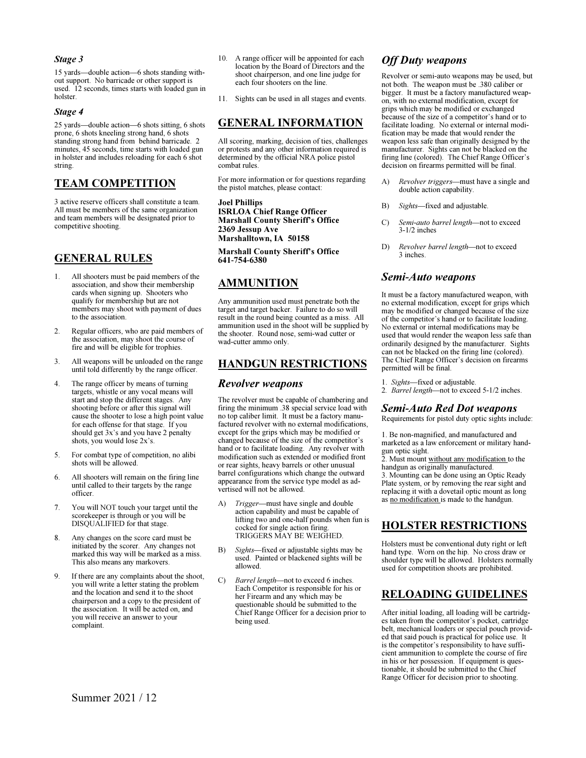#### Stage 3

15 yards—double action—6 shots standing without support. No barricade or other support is used. 12 seconds, times starts with loaded gun in holster.

#### Stage 4

25 yards—double action—6 shots sitting, 6 shots prone, 6 shots kneeling strong hand, 6 shots standing strong hand from behind barricade. 2 minutes, 45 seconds, time starts with loaded gun in holster and includes reloading for each 6 shot string.

### TEAM COMPETITION

3 active reserve officers shall constitute a team. All must be members of the same organization and team members will be designated prior to competitive shooting.

### GENERAL RULES

- 1. All shooters must be paid members of the association, and show their membership cards when signing up. Shooters who qualify for membership but are not members may shoot with payment of dues to the association.
- 2. Regular officers, who are paid members of the association, may shoot the course of fire and will be eligible for trophies.
- 3. All weapons will be unloaded on the range until told differently by the range officer.
- 4. The range officer by means of turning targets, whistle or any vocal means will start and stop the different stages. Any shooting before or after this signal will cause the shooter to lose a high point value for each offense for that stage. If you should get 3x's and you have 2 penalty shots, you would lose 2x's.
- 5. For combat type of competition, no alibi shots will be allowed.
- 6. All shooters will remain on the firing line until called to their targets by the range officer.
- 7. You will NOT touch your target until the scorekeeper is through or you will be DISQUALIFIED for that stage.
- Any changes on the score card must be initiated by the scorer. Any changes not marked this way will be marked as a miss. This also means any markovers.
- 9. If there are any complaints about the shoot, you will write a letter stating the problem and the location and send it to the shoot chairperson and a copy to the president of the association. It will be acted on, and you will receive an answer to your complaint.
- 10. A range officer will be appointed for each location by the Board of Directors and the shoot chairperson, and one line judge for each four shooters on the line.
- 11. Sights can be used in all stages and events.

### GENERAL INFORMATION

All scoring, marking, decision of ties, challenges or protests and any other information required is determined by the official NRA police pistol combat rules.

For more information or for questions regarding the pistol matches, please contact:

Joel Phillips ISRLOA Chief Range Officer Marshall County Sheriff's Office 2369 Jessup Ave Marshalltown, IA 50158

Marshall County Sheriff's Office 641**-**754**-**6380

### AMMUNITION

Any ammunition used must penetrate both the target and target backer. Failure to do so will result in the round being counted as a miss. All ammunition used in the shoot will be supplied by the shooter. Round nose, semi-wad cutter or wad-cutter ammo only.

#### HANDGUN RESTRICTIONS

#### Revolver weapons

The revolver must be capable of chambering and firing the minimum .38 special service load with no top caliber limit. It must be a factory manufactured revolver with no external modifications, except for the grips which may be modified or changed because of the size of the competitor's hand or to facilitate loading. Any revolver with modification such as extended or modified front or rear sights, heavy barrels or other unusual barrel configurations which change the outward appearance from the service type model as advertised will not be allowed.

- A) Trigger—must have single and double action capability and must be capable of lifting two and one-half pounds when fun is cocked for single action firing. TRIGGERS MAY BE WEIGHED.
- B) Sights—fixed or adjustable sights may be used. Painted or blackened sights will be allowed.
- C) Barrel length—not to exceed 6 inches. Each Competitor is responsible for his or her Firearm and any which may be questionable should be submitted to the Chief Range Officer for a decision prior to being used.

### **Off Duty weapons**

Revolver or semi-auto weapons may be used, but not both. The weapon must be .380 caliber or bigger. It must be a factory manufactured weapon, with no external modification, except for grips which may be modified or exchanged because of the size of a competitor's hand or to facilitate loading. No external or internal modification may be made that would render the weapon less safe than originally designed by the manufacturer. Sights can not be blacked on the firing line (colored). The Chief Range Officer's decision on firearms permitted will be final.

- A) Revolver triggers—must have a single and double action capability.
- B) Sights—fixed and adjustable.
- C) Semi*-*auto barrel length—not to exceed 3-1/2 inches
- D) Revolver barrel length—not to exceed 3 inches.

### Semi*-*Auto weapons

It must be a factory manufactured weapon, with no external modification, except for grips which may be modified or changed because of the size of the competitor's hand or to facilitate loading. No external or internal modifications may be used that would render the weapon less safe than ordinarily designed by the manufacturer. Sights can not be blacked on the firing line (colored). The Chief Range Officer's decision on firearms permitted will be final.

- 1. Sights—fixed or adjustable.
- 2. Barrel length—not to exceed 5-1/2 inches.

#### Semi*-*Auto Red Dot weapons

Requirements for pistol duty optic sights include:

1. Be non-magnified, and manufactured and marketed as a law enforcement or military handgun optic sight.

2. Must mount without any modification to the handgun as originally manufactured.

3. Mounting can be done using an Optic Ready Plate system, or by removing the rear sight and replacing it with a dovetail optic mount as long as no modification is made to the handgun.

### HOLSTER RESTRICTIONS

Holsters must be conventional duty right or left hand type. Worn on the hip. No cross draw or shoulder type will be allowed. Holsters normally used for competition shoots are prohibited.

### RELOADING GUIDELINES

After initial loading, all loading will be cartridges taken from the competitor's pocket, cartridge belt, mechanical loaders or special pouch provided that said pouch is practical for police use. It is the competitor's responsibility to have sufficient ammunition to complete the course of fire in his or her possession. If equipment is questionable, it should be submitted to the Chief Range Officer for decision prior to shooting.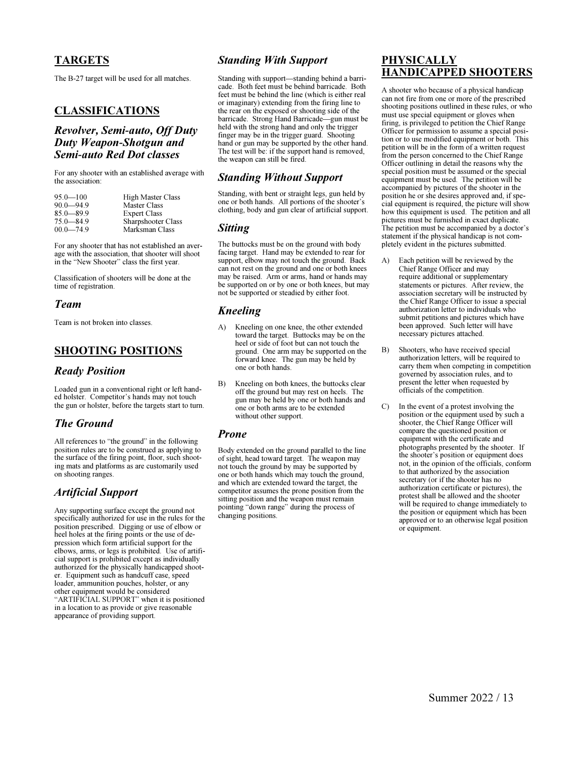### TARGETS

The B-27 target will be used for all matches.

### CLASSIFICATIONS

### Revolver, Semi*-*auto, Off Duty Duty Weapon*-*Shotgun and Semi*-*auto Red Dot classes

For any shooter with an established average with the association:

| $95.0 - 100$  | <b>High Master Class</b> |
|---------------|--------------------------|
| $90.0 - 94.9$ | <b>Master Class</b>      |
| $85.0 - 89.9$ | <b>Expert Class</b>      |
| $75.0 - 84.9$ | Sharpshooter Class       |
| $00.0 - 74.9$ | Marksman Class           |

For any shooter that has not established an average with the association, that shooter will shoot in the "New Shooter" class the first year.

Classification of shooters will be done at the time of registration.

#### Team

Team is not broken into classes.

### SHOOTING POSITIONS

#### Ready Position

Loaded gun in a conventional right or left handed holster. Competitor's hands may not touch the gun or holster, before the targets start to turn.

### The Ground

All references to "the ground" in the following position rules are to be construed as applying to the surface of the firing point, floor, such shooting mats and platforms as are customarily used on shooting ranges.

### Artificial Support

Any supporting surface except the ground not specifically authorized for use in the rules for the position prescribed. Digging or use of elbow or heel holes at the firing points or the use of depression which form artificial support for the elbows, arms, or legs is prohibited. Use of artificial support is prohibited except as individually authorized for the physically handicapped shooter. Equipment such as handcuff case, speed loader, ammunition pouches, holster, or any other equipment would be considered "ARTIFICIAL SUPPORT" when it is positioned in a location to as provide or give reasonable appearance of providing support.

### Standing With Support

Standing with support—standing behind a barricade. Both feet must be behind barricade. Both feet must be behind the line (which is either real or imaginary) extending from the firing line to the rear on the exposed or shooting side of the barricade. Strong Hand Barricade—gun must be held with the strong hand and only the trigger finger may be in the trigger guard. Shooting hand or gun may be supported by the other hand. The test will be: if the support hand is removed, the weapon can still be fired.

### Standing Without Support

Standing, with bent or straight legs, gun held by one or both hands. All portions of the shooter's clothing, body and gun clear of artificial support.

#### Sitting

The buttocks must be on the ground with body facing target. Hand may be extended to rear for support, elbow may not touch the ground. Back can not rest on the ground and one or both knees may be raised. Arm or arms, hand or hands may be supported on or by one or both knees, but may not be supported or steadied by either foot.

### Kneeling

- A) Kneeling on one knee, the other extended toward the target. Buttocks may be on the heel or side of foot but can not touch the ground. One arm may be supported on the forward knee. The gun may be held by one or both hands.
- B) Kneeling on both knees, the buttocks clear off the ground but may rest on heels. The gun may be held by one or both hands and one or both arms are to be extended without other support.

### Prone

Body extended on the ground parallel to the line of sight, head toward target. The weapon may not touch the ground by may be supported by one or both hands which may touch the ground, and which are extended toward the target, the competitor assumes the prone position from the sitting position and the weapon must remain pointing "down range" during the process of changing positions.

### PHYSICALLY HANDICAPPED SHOOTERS

A shooter who because of a physical handicap can not fire from one or more of the prescribed shooting positions outlined in these rules, or who must use special equipment or gloves when firing, is privileged to petition the Chief Range Officer for permission to assume a special position or to use modified equipment or both. This petition will be in the form of a written request from the person concerned to the Chief Range Officer outlining in detail the reasons why the special position must be assumed or the special equipment must be used. The petition will be accompanied by pictures of the shooter in the position he or she desires approved and, if special equipment is required, the picture will show how this equipment is used. The petition and all pictures must be furnished in exact duplicate. The petition must be accompanied by a doctor's statement if the physical handicap is not completely evident in the pictures submitted.

- A) Each petition will be reviewed by the Chief Range Officer and may require additional or supplementary statements or pictures. After review, the association secretary will be instructed by the Chief Range Officer to issue a special authorization letter to individuals who submit petitions and pictures which have been approved. Such letter will have necessary pictures attached.
- B) Shooters, who have received special authorization letters, will be required to carry them when competing in competition governed by association rules, and to present the letter when requested by officials of the competition.
- C) In the event of a protest involving the position or the equipment used by such a shooter, the Chief Range Officer will compare the questioned position or equipment with the certificate and photographs presented by the shooter. If the shooter's position or equipment does not, in the opinion of the officials, conform to that authorized by the association secretary (or if the shooter has no authorization certificate or pictures), the protest shall be allowed and the shooter will be required to change immediately to the position or equipment which has been approved or to an otherwise legal position or equipment.